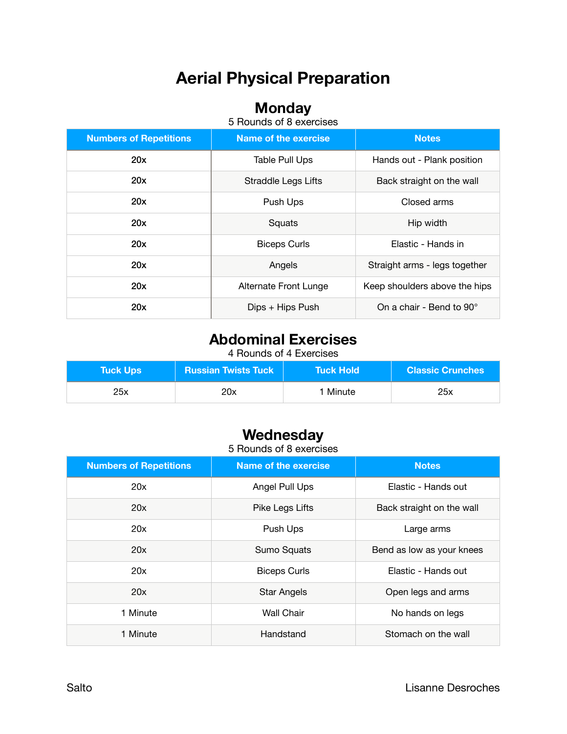# **Aerial Physical Preparation**

### **Monday**

5 Rounds of 8 exercises

| <b>Numbers of Repetitions</b> | <b>Name of the exercise</b> | <b>Notes</b>                  |
|-------------------------------|-----------------------------|-------------------------------|
| 20x                           | Table Pull Ups              | Hands out - Plank position    |
| 20x                           | <b>Straddle Legs Lifts</b>  | Back straight on the wall     |
| 20x                           | Push Ups                    | Closed arms                   |
| 20x                           | Squats                      | Hip width                     |
| 20x                           | <b>Biceps Curls</b>         | Elastic - Hands in            |
| 20x                           | Angels                      | Straight arms - legs together |
| 20x                           | Alternate Front Lunge       | Keep shoulders above the hips |
| 20x                           | Dips + Hips Push            | On a chair - Bend to 90°      |

## **Abdominal Exercises**

4 Rounds of 4 Exercises

| Tuck Ups \ | <b>Russian Twists Tuck</b> | NTuck Hold \ | <b>Classic Crunches</b> |
|------------|----------------------------|--------------|-------------------------|
| 25x        | 20x                        | 1 Minute     | 25x                     |

## **Wednesday**

5 Rounds of 8 exercises

| <b>Numbers of Repetitions</b> | <b>Name of the exercise</b> | <b>Notes</b>              |
|-------------------------------|-----------------------------|---------------------------|
| 20x                           | Angel Pull Ups              | Elastic - Hands out       |
| 20x                           | Pike Legs Lifts             | Back straight on the wall |
| 20x                           | Push Ups                    | Large arms                |
| 20x                           | Sumo Squats                 | Bend as low as your knees |
| 20x                           | <b>Biceps Curls</b>         | Elastic - Hands out       |
| 20x                           | <b>Star Angels</b>          | Open legs and arms        |
| 1 Minute                      | <b>Wall Chair</b>           | No hands on legs          |
| 1 Minute                      | Handstand                   | Stomach on the wall       |